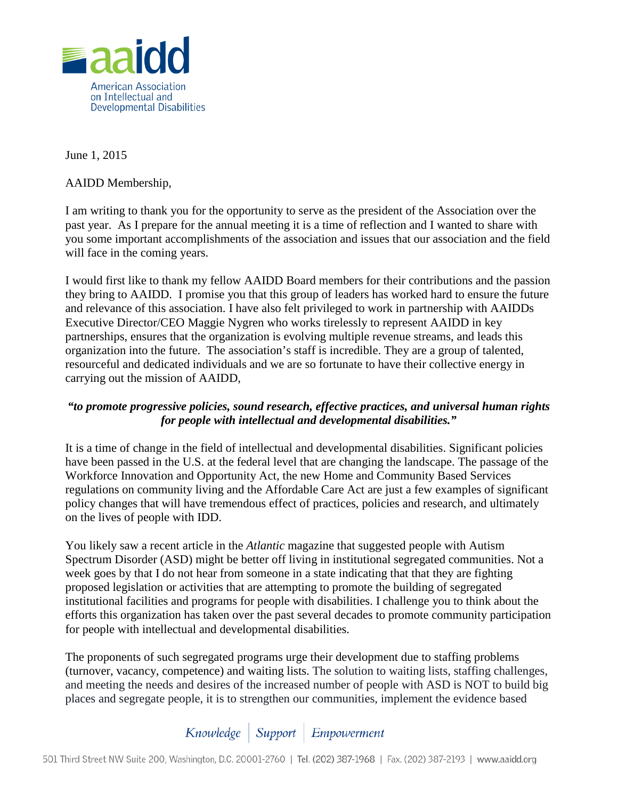

June 1, 2015

AAIDD Membership,

I am writing to thank you for the opportunity to serve as the president of the Association over the past year. As I prepare for the annual meeting it is a time of reflection and I wanted to share with you some important accomplishments of the association and issues that our association and the field will face in the coming years.

I would first like to thank my fellow AAIDD Board members for their contributions and the passion they bring to AAIDD. I promise you that this group of leaders has worked hard to ensure the future and relevance of this association. I have also felt privileged to work in partnership with AAIDDs Executive Director/CEO Maggie Nygren who works tirelessly to represent AAIDD in key partnerships, ensures that the organization is evolving multiple revenue streams, and leads this organization into the future. The association's staff is incredible. They are a group of talented, resourceful and dedicated individuals and we are so fortunate to have their collective energy in carrying out the mission of AAIDD,

## *"to promote progressive policies, sound research, effective practices, and universal human rights for people with intellectual and developmental disabilities."*

It is a time of change in the field of intellectual and developmental disabilities. Significant policies have been passed in the U.S. at the federal level that are changing the landscape. The passage of the Workforce Innovation and Opportunity Act, the new Home and Community Based Services regulations on community living and the Affordable Care Act are just a few examples of significant policy changes that will have tremendous effect of practices, policies and research, and ultimately on the lives of people with IDD.

You likely saw a recent article in the *Atlantic* magazine that suggested people with Autism Spectrum Disorder (ASD) might be better off living in institutional segregated communities. Not a week goes by that I do not hear from someone in a state indicating that that they are fighting proposed legislation or activities that are attempting to promote the building of segregated institutional facilities and programs for people with disabilities. I challenge you to think about the efforts this organization has taken over the past several decades to promote community participation for people with intellectual and developmental disabilities.

The proponents of such segregated programs urge their development due to staffing problems (turnover, vacancy, competence) and waiting lists. The solution to waiting lists, staffing challenges, and meeting the needs and desires of the increased number of people with ASD is NOT to build big places and segregate people, it is to strengthen our communities, implement the evidence based

## Knowledge | Support | Empowerment